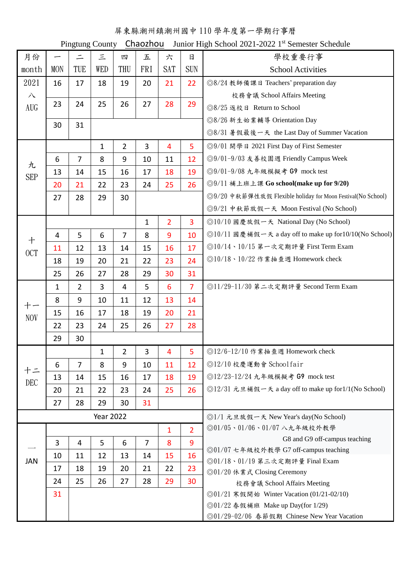## 屏東縣潮州鎮潮州國中 110 學年度第一學期行事曆

Pingtung County Chaozhou Junior High School 2021-2022 1st Semester Schedule

| 月份              |            | $\equiv$       | $\equiv$         | 四              | 五              | 六              | 日              | 學校重要行事                                                                   |
|-----------------|------------|----------------|------------------|----------------|----------------|----------------|----------------|--------------------------------------------------------------------------|
| month           | <b>MON</b> | TUE            | WED              | THU            | <b>FRI</b>     | <b>SAT</b>     | <b>SUN</b>     | <b>School Activities</b>                                                 |
| 2021            | 16         | 17             | 18               | 19             | 20             | 21             | 22             | ◎8/24 教師備課日 Teachers' preparation day                                    |
| $\lambda$       |            |                |                  |                |                |                |                | 校務會議 School Affairs Meeting                                              |
| AUG             | 23         | 24             | 25               | 26             | 27             | 28             | 29             | ◎8/25 返校日 Return to School                                               |
|                 | 30         | 31             |                  |                |                |                |                | ◎8/26 新生始業輔導 Orientation Day                                             |
|                 |            |                |                  |                |                |                |                | ◎8/31 暑假最後一天 the Last Day of Summer Vacation                             |
| 九<br><b>SEP</b> |            |                | $\mathbf{1}$     | $\overline{2}$ | $\overline{3}$ | 4              | 5              | ◎9/01 開學日 2021 First Day of First Semester                               |
|                 | 6          | $\overline{7}$ | 8                | 9              | 10             | 11             | 12             | ◎9/01-9/03 友善校園週 Friendly Campus Week                                    |
|                 | 13         | 14             | 15               | 16             | 17             | 18             | 19             | ◎9/01-9/08 九年級模擬考 G9 mock test                                           |
|                 | 20         | 21             | 22               | 23             | 24             | 25             | 26             | ◎9/11 補上班上課 Go school(make up for 9/20)                                  |
|                 | 27         | 28             | 29               | 30             |                |                |                | ◎9/20 中秋節彈性放假 Flexible holiday for Moon Festival(No School)              |
|                 |            |                |                  |                |                |                |                | ◎9/21 中秋節放假一天 Moon Festival (No School)                                  |
| $+$<br>OCT      |            |                |                  |                | $\mathbf{1}$   | $\overline{2}$ | $\overline{3}$ | ◎10/10 國慶放假一天 National Day (No School)                                   |
|                 | 4          | 5              | 6                | $\overline{7}$ | 8              | 9              | 10             | ◎10/11 國慶補假一天 a day off to make up for10/10(No School)                   |
|                 | 11         | 12             | 13               | 14             | 15             | 16             | 17             | ◎10/14、10/15 第一次定期評量 First Term Exam                                     |
|                 | 18         | 19             | 20               | 21             | 22             | 23             | 24             | ◎10/18、10/22 作業抽查週 Homework check                                        |
|                 | 25         | 26             | 27               | 28             | 29             | 30             | 31             |                                                                          |
| <b>NOV</b>      | 1          | $\overline{2}$ | 3                | 4              | 5              | 6              | $\overline{7}$ | ◎11/29-11/30 第二次定期評量 Second Term Exam                                    |
|                 | 8          | 9              | 10               | 11             | 12             | 13             | 14             |                                                                          |
|                 | 15         | 16             | 17               | 18             | 19             | 20             | 21             |                                                                          |
|                 | 22         | 23             | 24               | 25             | 26             | 27             | 28             |                                                                          |
|                 | 29         | 30             |                  |                |                |                |                |                                                                          |
|                 |            |                | 1                | $\overline{2}$ | 3              | 4              | 5              | ◎12/6-12/10 作業抽查週 Homework check                                         |
|                 | 6          | $\overline{7}$ | 8                | 9              | 10             | 11             | 12             | ◎12/10 校慶運動會 Schoolfair                                                  |
|                 | 13         | 14             | 15               | 16             | 17             | 18             | 19             | ◎12/23-12/24 九年級模擬考 G9 mock test                                         |
| <b>DEC</b>      | 20         | 21             | 22               | 23             | 24             | 25             | 26             | ◎12/31 元旦補假一天 a day off to make up for1/1(No School)                     |
|                 | 27         | 28             | 29               | 30             | 31             |                |                |                                                                          |
|                 |            |                | <b>Year 2022</b> |                |                |                |                | ◎1/1 元旦放假一天 New Year's day(No School)                                    |
|                 |            |                |                  |                |                | $\mathbf{1}$   | $\overline{2}$ | ◎01/05、01/06、01/07 八九年級校外教學                                              |
| <b>JAN</b>      | 3          | 4              | 5                | 6              | $\overline{7}$ | 8              | 9              | G8 and G9 off-campus teaching                                            |
|                 | 10         | 11             | 12               | 13             | 14             | 15             | 16             | ◎01/07 七年級校外教學 G7 off-campus teaching                                    |
|                 | 17         | 18             | 19               | 20             | 21             | 22             | 23             | ◎01/18、01/19 第三次定期評量 Final Exam                                          |
|                 | 24         | 25             | 26               | 27             | 28             | 29             | 30             | ◎01/20 休業式 Closing Ceremony                                              |
|                 | 31         |                |                  |                |                |                |                | 校務會議 School Affairs Meeting<br>◎01/21 寒假開始 Winter Vacation (01/21-02/10) |
|                 |            |                |                  |                |                |                |                | ◎01/22 春假補班 Make up Day(for 1/29)                                        |
|                 |            |                |                  |                |                |                |                | ◎01/29-02/06 春節假期 Chinese New Year Vacation                              |